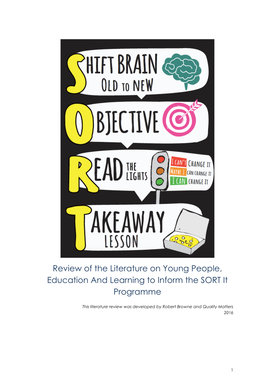

# Review of the Literature on Young People, Education And Learning to Inform the SORT It Programme

*This literature review was developed by Robert Browne and Quality Matters 2016*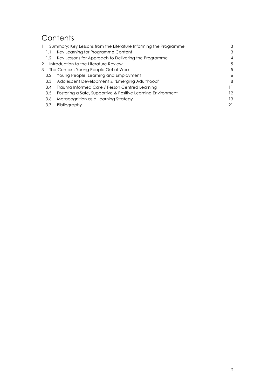# **Contents**

|              | Summary: Key Lessons from the Literature Informing the Programme |    |
|--------------|------------------------------------------------------------------|----|
| 1.1          | Key Learning for Programme Content                               | 3  |
| 1.2          | Key Lessons for Approach to Delivering the Programme             | 4  |
| $\mathbf{2}$ | Introduction to the Literature Review                            | 5  |
| 3            | The Context: Young People Out of Work                            | 5  |
| 3.2          | Young People, Learning and Employment                            | 6  |
| 3.3          | Adolescent Development & 'Emerging Adulthood'                    | 8  |
| 3.4          | Trauma Informed Care / Person Centred Learning                   |    |
| 3.5          | Fostering a Safe, Supportive & Positive Learning Environment     | 12 |
| 3.6          | Metacognition as a Learning Strategy                             | 13 |
| 3.7          | Bibliography                                                     | 21 |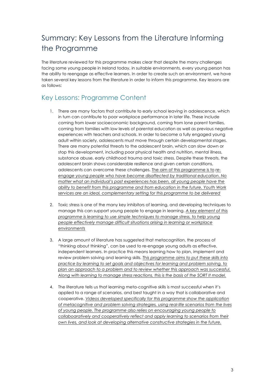# Summary: Key Lessons from the Literature Informing the Programme

The literature reviewed for this programme makes clear that despite the many challenges facing some young people in Ireland today, in suitable environments, every young person has the ability to reengage as effective learners. In order to create such an environment, we have taken several key lessons from the literature in order to inform this programme. Key lessons are as follows:

## Key Lessons: Programme Content

- 1. There are many factors that contribute to early school leaving in adolescence, which in turn can contribute to poor workplace performance in later life. These include coming from lower socioeconomic background, coming from lone parent families, coming from families with low levels of parental education as well as previous negative experiences with teachers and schools. In order to become a fully engaged young adult within society, adolescents must move through certain developmental stages. There are many potential threats to the adolescent brain, which can slow down or stop this development, including poor physical health and nutrition, mental illness, substance abuse, early childhood trauma and toxic stress. Despite these threats, the adolescent brain shows considerable resilience and given certain conditions, adolescents can overcome these challenges. The aim of this programme is to *reengage young people who have become disaffected by traditional education*. *No matter what an individual's past experiences has been, all young people have the ability to benefit from this programme and from education in the future. Youth Work services are an ideal, complementary setting for this programme to be delivered*
- 2. Toxic stress is one of the many key inhibitors of learning, and developing techniques to manage this can support young people to engage in learning. *A key element of this programme is learning to use simple techniques to manage stress, to help young people effectively manage difficult situations arising in learning or workplace environments*
- 3. A large amount of literature has suggested that metacognition, the process of "thinking about thinking", can be used to re-engage young adults as effective, independent learners. In practice this means learning how to plan, implement and review problem solving and learning skills. *This programme aims to put these skills into practice by learning to set goals and objectives for learning and problem solving, to plan an approach to a problem and to review whether this approach was successful. Along with learning to manage stress reactions, this is the basis of the SORT It model.*
- 4. The literature tells us that learning meta-cognitive skills is most successful when it's applied to a range of scenarios, and best taught in a way that is collaborative and cooperative. *Videos developed specifically for this programme show the application of metacognitive and problem solving strategies, using real-life scenarios from the lives of young people. The programme also relies on encouraging young people to collaboaratively and cooperatively reflect and apply learning to scenarios from their own lives, and look at developing alternative constructive strategies in the future.*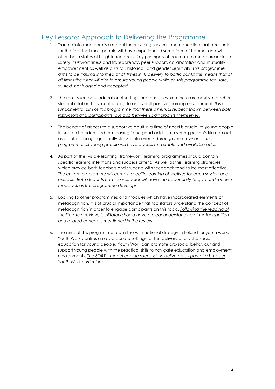## Key Lessons: Approach to Delivering the Programme

- 1. Trauma informed care is a model for providing services and education that accounts for the fact that most people will have experienced some form of trauma, and will often be in states of heightened stress. Key principals of trauma informed care include: safety, trustworthiness and transparency, peer support, collaboration and mutuality, empowerment as well as cultural, historical, and gender sensitivity. *This programme aims to be trauma informed at all times in its delivery to participants; this means that at all times the tutor will aim to ensure young people while on this programme feel safe, trusted, not judged and accepted.*
- 2. The most successful educational settings are those in which there are positive teacherstudent relationships, contributing to an overall positive learning environment. *It is a fundamental aim of this programme that there is mutual respect shown between both instructors and participants, but also between participants themselves.*
- 3. The benefit of access to a supportive adult in a time of need is crucial to young people. Research has identified that having "one good adult" in a young person's life can act as a buffer during signifcantly stressful life events. *Through the provision of this programme, all young people will have access to a stable and available adult.*
- 4. As part of the 'visible learning' framework, learning programmes should contain specific learning intentions and success criteria. As well as this, learning strategies which provide both teachers and students with feedback tend to be most effective. *The current programme will contain specific learning objectives for each session and exercise. Both students and the instructor will have the opportunity to give and receive feedback as the programme develops.*
- 5. Looking to other programmes and modules which have incorporated elements of metacognition, it is of crucial importance that facilitators understand the concept of metacognition in order to engage participants on this topic. *Following the reading of the literature review, facilitators should have a clear understanding of metacognition and related concepts mentioned in the review.*
- 6. The aims of this programme are in line with national strategy in Ireland for youth work, Youth Work centres are appropriate settings for the delivery of psycho-social education for young people. Youth Work can promote pro-social behaviour and support young people with the practical skills to navigate education and employment environments. *The SORT It model can be successfully delivered as part of a broader Youth Work curriculum.*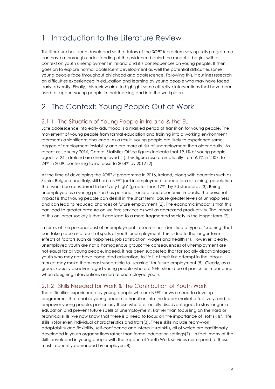## 1 Introduction to the Literature Review

This literature has been developed so that tutors of the *SORT It* problem-solving skills programme can have a thorough understanding of the evidence behind the model. It begins with a context on youth unemployment in Ireland and it's consequences on young people. It then goes on to explore normal adolescent development as well the potential difficulties some young people face throughout childhood and adolescence. Following this, it outlines research on difficulties experienced in education and learning by young people who may have faced early adversity. Finally, this review aims to highlight some effective interventions that have been used to support young people in their learning and into the workplace.

## 2 The Context: Young People Out of Work

#### 2.1.1 The Situation of Young People in Ireland & the EU

Late adolescence into early adulthood is a marked period of transition for young people. The movement of young people from formal education and training into a working environment represents a significant challenge. As a result, young people are likely to experience some degree of employment instability and are more at risk of unemployment than older adults. As recent as January 2016, Central Statistics Office figures indicate that 19.1% of young people aged 15-24 in Ireland are unemployed (1). This figure rose dramatically from 9.1% in 2007, to 24% in 2009, continuing to increase to 30.4% by 2012 (2).

At the time of developing the *SORT It* programme in 2016, Ireland, along with countries such as Spain, Bulgaria and Italy, still had a NEET (not in employment, education or training) population that would be considered to be 'very high' (greater than 17%) by EU standards (3). Being unemployed as a young person has personal, societal and economic impacts. The personal impact is that young people can deskill in the short term, cause greater levels of unhappiness and can lead to reduced chances of future employment (2). The economic impact is that this can lead to greater pressure on welfare services as well as decreased productivity. The impact of this on larger society is that it can lead to a more fragmented society in the longer term (2).

In terms of the personal cost of unemployment, research has identified a type of 'scarring' that can take place as a result of spells of youth unemployment. This is due to the longer-term effects of factors such as happiness, job satisfaction, wages and health (4). However, clearly, unemployed youth are not a homogenous group; the consequences of unemployment are not equal for all young people. Indeed, it has been suggested that for socially disadvantaged youth who may not have completed education, to 'fail' at their first attempt in the labour market may make them most susceptible to 'scarring' for future employment (5). Clearly, as a group, socially disadvantaged young people who are NEET should be of particular importance when designing interventions aimed at unemployed youth.

#### 2.1.2 Skills Needed for Work & the Contribution of Youth Work

The difficulties experienced by young people who are NEET shows a need to develop programmes that enable young people to transition into the labour market effectively, and to empower young people, particularly those who are socially disadvantaged, to stay longer in education and prevent future spells of unemployment. Rather than focussing on the hard or technical skills, we now know that there is a need to focus on the importance of 'soft skills', 'life skills' (6)or even individual characteristics and traits(3). These skills include team-work, adaptability and flexibility, self-confidence and intercultural skills, all of which are traditionally developed in youth organisations rather than formal education settings(7). In fact, many of the skills developed in young people with the support of Youth Work services correspond to those most frequently demanded by employers(8).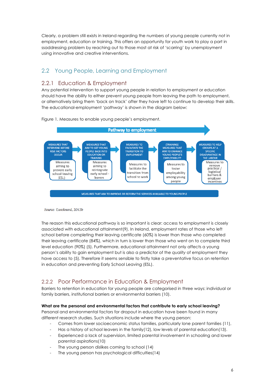Clearly, a problem still exists in Ireland regarding the numbers of young people currently not in employment, education or training. This offers an opportunity for youth work to play a part in ssaddressing problem by reaching out to those most at risk of 'scarring' by unemployment using innovative and creative interventions.

## 2.2 Young People, Learning and Employment

#### 2.2.1 Education & Employment

Any potential intervention to support young people in relation to employment or education should have the ability to either prevent young people from leaving the path to employment, or alternatively bring them 'back on track' after they have left to continue to develop their skills. The educational-employment 'pathway' is shown in the diagram below:



Figure 1. Measures to enable young people's employment.

Source: Eurofound, 2012b

The reason this educational pathway is so important is clear: access to employment is closely associated with educational attainment(9). In Ireland, employment rates of those who left school before completing their leaving certificate (60%) is lower than those who completed their leaving certificate (84%), which in turn is lower than those who went on to complete third level education (90%) (5). Furthermore, educational attainment not only affects a young person's ability to gain employment but is also a predictor of the *quality* of employment they have access to (5). Therefore it seems sensible to firstly take a preventative focus on retention in education and preventing Early School Leaving (ESL).

## 2.2.2 Poor Performance in Education & Employment

Barriers to retention in education for young people are categorised in three ways: individual or family barriers, institutional barriers or environmental barriers (10).

#### **What are the personal and environmental factors that contribute to early school leaving?**

Personal and environmental factors for dropout in education have been found in many different research studies. Such situations include where the young person:

- Comes from lower socioeconomic status families, particularly lone parent families (11),
- Has a history of school leavers in the family(12), low levels of parental education(13).
- Experienced a lack of supervision, limited parental involvement in schooling and lower parental aspirations(10)
- The young person dislikes coming to school (14)
- The young person has psychological difficulties(14)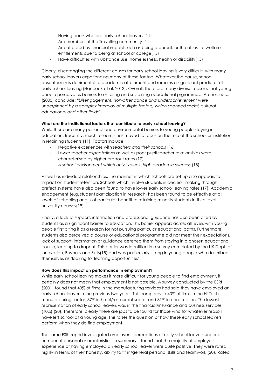- Having peers who are early school leavers (11)
- Are members of the Travelling community (11)
- Are affected by financial impact such as being a parent, or the of loss of welfare entitlements due to being at school or college(15)
- Have difficulties with ubstance use, homelessness, health or disability(15)

Clearly, disentangling the different causes for early school leaving is very difficult, with many early school leavers experiencing many of these factors. Whatever the cause, school absenteeism is detrimental to academic attainment and remains a significant predictor of early school leaving (Hancock et al. 2013). Overall, there are many diverse reasons that young people perceive as barriers to entering and sustaining educational prgrammes. Archer, *et al.*  (2005) conclude: *"Disengagement, non-attendance and underachievement were underpinned by a complex interplay of multiple factors, which spanned social, cultural, educational and other fields"*

#### **What are the institutional factors that contribute to early school leaving?**

While there are many personal and environmental barriers to young people staying in education. Recently, much research has moved to focus on the role of the school or institution in retaining students (11). Factors include:

- Negative experiences with *teachers and their schools* (16)
- L*ower teacher expectations* as well as poor pupil-teacher relationships were characterised by higher dropout rates (17).
- *A school environment which only 'values' high academic success* (18)

As well as individual relationships, the manner in which schools are set up also appears to impact on student retention. Schools which involve students in decision making through prefect systems have also been found to have lower early school leaving rates (17). Academic engagement (e.g. student participation in research) has been found to be effective at all levels of schooling and is of particular benefit to retaining minority students in third level university courses(19).

Finally, a lack of support, information and professional guidance has also been cited by students as a significant barrier to education. This barrier appears across all levels with young people first citing it as a reason for not pursuing particular educational paths. Furthermore students also perceived a course or educational programme did not meet their expectations, lack of support, information or guidance deterred them from staying in a chosen educational course, leading to dropout. This barrier was identified in a survey completed by the UK Dept. of Innovation, Business and Skills(15) and was particularly strong in young people who described themselves as 'looking for learning opportunities'.

#### **How does this impact on performance in employment?**

While early school leaving makes it more difficult for young people to find employment, it certainly does not mean that employment is not possible. A survey conducted by the ESRI (2001) found that 43% of firms in the manufacturing services had said they have employed an early school leaver in the previous two years. This compares to 40% of firms in the Hi-Tech manufacturing sector, 37% in hotel/restaurant sector and 31% in construction. The lowest representation of early school leavers was in the financial/insurance and business services (10%) (20). Therefore, clearly there are jobs to be found for those who for whatever reason have left school at a young age. This raises the question of how these early school leavers perform when they do find employment.

The same ESRI report investigated employer's perceptions of early school leavers under a number of personal characteristics. In summary it found that the majority of employers' experience of having employed an early school leaver were quite positive. They were rated highly in terms of their honesty, ability to fit in/general personal skills and teamwork (20). Rated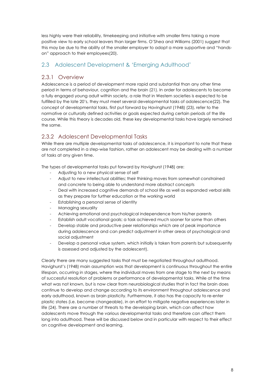less highly were their reliability, timekeeping and initiative with smaller firms taking a more positive view to early school leavers than larger firms. O'Shea and Williams (2001) suggest that this may be due to the ability of the smaller employer to adopt a more supportive and "handson" approach to their employees(20).

### 2.3 Adolescent Development & 'Emerging Adulthood'

#### 2.3.1 Overview

Adolescence is a period of development more rapid and substantial than any other time period in terms of behaviour, cognition and the brain (21). In order for adolescents to become a fully engaged young adult within society, a role that in Western societies is expected to be fulfilled by the late 20's, they must meet several developmental tasks of adolescence(22). The concept of developmental tasks, first put forward by Havinghurst (1948) (23), refer to the normative or culturally defined activities or goals expected during certain periods of the life course. While this theory is decades old, these key developmental tasks have largely remained the same.

## 2.3.2 Adolescent Developmental Tasks

While there are multiple developmental tasks of adolescence, it is important to note that these are not completed in a step-wise fashion, rather an adolescent may be dealing with a number of tasks at any given time.

The types of developmental tasks put forward by Havighurst (1948) are:

- Adjusting to a new physical sense of self
- Adjust to new intellectual abilities; their thinking moves from somewhat constrained and concrete to being able to understand more abstract concepts
- Deal with increased cognitive demands of school life as well as expanded verbal skills as they prepare for further education or the working world
- Establishing a personal sense of identity
- Managing sexuality
- Achieving emotional and psychological independence from his/her parents
- Establish adult vocational goals; a task achieved much sooner for some than others
- Develop stable and productive peer relationships which are of peak importance during adolescence and can predict adjustment in other areas of psychological and social adjustment
- Develop a personal value system, which initially is taken from parents but subsequently is assessed and adjusted by the adolescent).

Clearly there are many suggested tasks that must be negotiated throughout adulthood. Havighurst's (1948) main assumption was that development is continuous throughout the entire lifespan, occurring in stages, where the individual moves from one stage to the next by means of successful resolution of problems or performance of developmental tasks. While at the time what was not known, but is now clear from neurobiological studies that in fact the brain does continue to develop and change according to its environment throughout adolescence and early adulthood, known as brain plasticity. Furthermore, it also has the capacity to re-enter plastic states (i.e. become changeable), in an effort to mitigate negative experiences later in life (24). There are a number of threats to the developing brain, which can affect how adolescents move through the various developmental tasks and therefore can affect them long into adulthood. These will be discussed below and in particular with respect to their effect on cognitive development and learning.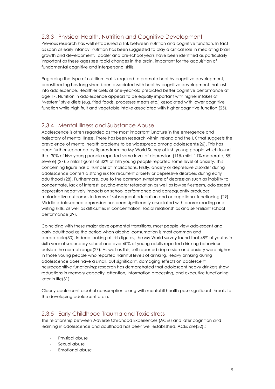## 2.3.3 Physical Health, Nutrition and Cognitive Development

Previous research has well established a link between nutrition and cognitive function. In fact as soon as early infancy, nutrition has been suggested to play a critical role in mediating brain growth and development. Toddler and pre-school years have been identified as particularly important as these ages see rapid changes in the brain, important for the acquisition of fundamental cognitive and interpersonal skills.

Regarding the type of nutrition that is required to promote healthy cognitive development, breastfeeding has long since been associated with healthy cognitive development that last into adolescence. Healthier diets at one-year-old predicted better cognitive performance at age 17. Nutrition in adolescence appears to be equally important with higher intakes of 'western' style diets (e.g. fried foods, processes meats etc.) associated with lower cognitive function while high fruit and vegetable intake associated with higher cognitive function (25).

#### 2.3.4 Mental Illness and Substance Abuse

Adolescence is often regarded as the most important juncture in the emergence and trajectory of mental illness. There has been research within Ireland and the UK that suggests the prevalence of mental health problems to be widespread among adolescents(26). This has been further supported by figures from the My World Survey of Irish young people which found that 30% of Irish young people reported some level of depression (11% mild, 11% moderate, 8% severe) (27). Similar figures of 32% of Irish young people reported some level of anxiety. This concerning figure has a number of implications. Firstly, anxiety or depressive disorder during adolescence confers a strong risk for recurrent anxiety or depressive disorders during early adulthood (28). Furthermore, due to the common symptoms of depression such as inability to concentrate, lack of interest, psycho-motor retardation as well as low self-esteem, adolescent depression negatively impacts on school performance and consequently produces maladaptive outcomes in terms of subsequent education and occupational functioning (29). Middle adolescence depression has been significantly associated with poorer reading and writing skills, as well as difficulties in concentration, social relationships and self-reliant school performance(29).

Coinciding with these major developmental transitions, most people view adolescent and early adulthood as the period when alcohol consumption is most common and acceptable(30). Indeed looking at Irish figures, the My World survey found that 48% of youths in sixth year of secondary school and over 60% of young adults reported drinking behaviour outside the normal range(27). As well as this, self-reported depression and anxiety were higher in those young people who reported harmful levels of drinking. Heavy drinking during adolescence does have a small, but significant, damaging effects on adolescent neurocognitive functioning: research has demonstrated that adolescent heavy drinkers show reductions in memory capacity, attention, information processing, and executive functioning later in life(31)

Clearly adolescent alcohol consumption along with mental ill health pose significant threats to the developing adolescent brain.

#### 2.3.5 Early Childhood Trauma and Toxic stress

The relationship between Adverse Childhood Experiences (ACEs) and later cognition and learning in adolescence and adulthood has been well established. ACEs are(32).:

- Physical abuse
- Sexual abuse
- Emotional abuse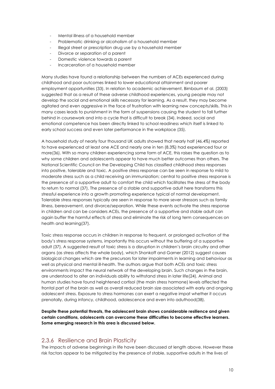- Mental illness of a household member
- Problematic drinking or alcoholism of a household member
- Illegal street or prescription drug use by a household member
- Divorce or separation of a parent
- Domestic violence towards a parent
- Incarceration of a household member

Many studies have found a relationship between the numbers of ACEs experienced during childhood and poor outcomes linked to lower educational attainment and poorer employment opportunities (33). In relation to academic achievement, Birnbaum et al. (2003) suggested that as a result of these adverse childhood experiences, young people may not develop the social and emotional skills necessary for learning. As a result, they may become agitated and even aggressive in the face of frustration with learning new concepts/skills. This in many cases leads to punishment in the form of suspensions causing the student to fall further behind in coursework and into a cycle that is difficult to break (34). Indeed, social and emotional competence has been directly linked to school readiness which itself is linked to early school success and even later performance in the workplace (35).

A household study of nearly four thousand UK adults showed that nearly half (46.4%) reported to have experienced at least one ACE and nearly one in ten (8.3%) had experienced four or more(36). With so many children experiencing some form of ACE, this raises the question as to why some children and adolescents appear to have much better outcomes than others. The National Scientific Council on the Developing Child has classified childhood stress responses into positive, tolerable and toxic. A positive stress response can be seen in response to mild to moderate stress such as a child receiving an immunization; central to positive stress response is the presence of a supportive adult to comfort the child which facilitates the stress of the body to return to normal (37). The presence of a stable and supportive adult here transforms this stressful experience into a growth promoting experience typical of normal development. Tolerable stress responses typically are seen in response to more sever stressors such as family illness, bereavement, and divorce/separation. While these events activate the stress response in children and can be considers ACEs, the presence of a supportive and stable adult can again buffer the harmful effects of stress and eliminate the risk of long term consequences on health and learning(37).

Toxic stress response occurs in children in response to frequent, or prolonged activation of the body's stress response systems, importantly this occurs without the buffering of a supportive adult (37). A suggested result of toxic stress is a disruption in children's brain circuitry and other organs (as stress affects the whole body), which Shonkoff and Garner (2012) suggest causes biological changes which are the precursors for later impairments in learning and behaviour as well as physical and mental ill-health. The authors argue that both ACEs and toxic stress environments impact the neural network of the developing brain. Such changes in the brain, are understood to alter an individuals ability to withstand stress in later life(24). Animal and human studies have found heightened cortisol (the main stress hormone) levels affected the frontal part of the brain as well as overall reduced brain size associated with early and ongoing adolescent stress. Exposure to stress hormones can exert a negative impat whether it occurs prenatally, during infancy, childhood, adolescence and even into aduthood(38).

**Despite these potential threats, the adolescent brain shows considerable resilience and given certain conditions, adolescents can overcome these difficulties to become effective learners. Some emerging research in this area is discussed below.** 

#### 2.3.6 Resilience and Brain Plasticity

The impacts of adverse beginnings in life have been discussed at length above. However these risk factors appear to be mitigated by the presence of stable, supportive adults in the lives of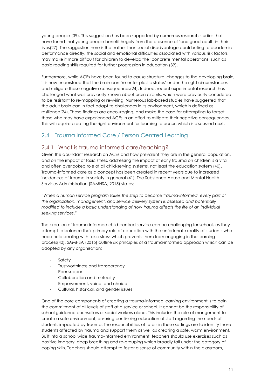young people (39). This suggestion has been supported by numerous research studies that have found that young people benefit hugely from the presence of 'one good adult' in their lives(27). The suggestion here is that rather than social disadvantage contributing to academic performance directly, the social and emotional difficulties associated with various risk factors may make it more difficult for children to develop the 'concrete mental operations' such as basic reading skills required for further progression in education (39).

Furthermore, while ACEs have been found to cause structural changes to the developing brain, it is now understood that the brain can 're-enter plastic states' under the right circumstances and mitigate these negative consequences(24). Indeed, recent experimental research has challenged what was previously known about brain circuits, which were previously considered to be resistant to re-mapping or re-wiring. Numerous lab-based studies have suggested that the adult brain can in fact adapt to challenges in its environment, which is defined as resilience(24). These findings are encouraging, and make the case for attempting to target those who may have experienced ACEs in an effort to mitigate their negative consequences. This will require creating the right environment for learning to occur, which is discussed next.

## 2.4 Trauma Informed Care / Person Centred Learning

## 2.4.1 What is trauma informed care/teaching?

Given the abundant research on ACEs and how prevalent they are in the general population, and on the impact of toxic stress, addressing the impact of early trauma on children is a vital and often overlooked role of all child-serving systems, not least the education system (40). Trauma-informed care as a concept has been created in recent years due to increased incidences of trauma in society in general (41). The Substance Abuse and Mental Health Services Administration (SAMHSA; 2015) states:

*"When a human service program takes the step to become trauma-informed, every part of the organization, management, and service delivery system is assessed and potentially modified to include a basic understanding of how trauma affects the life of an individual seeking services*."

The creation of trauma-informed child-centred service can be challenging for schools as they attempt to balance their primary role of education with the unfortunate reality of students who need help dealing with toxic stress which prevents them from engaging in the learning process(40). SAMHSA (2015) outline six principles of a trauma-informed approach which can be adopted by any organisation;

- **Safety**
- Trustworthiness and transparency
- Peer support
- Collaboration and mutuality
- Empowerment, voice, and choice
- Cultural, historical, and gender issues

One of the core components of creating a trauma-informed learning environment is to gain the commitment of all levels of staff at a service or school. It cannot be the responsibility of school guidance counsellors or social workers alone. This includes the role of mangement to create a safe environment, ensuring continuing education of staff regarding the needs of students impacted by trauma. The responsibilities of tutors in these settings are to identify those students affected by trauma and support them as well as creating a safe, warm environment. Built into a school wide trauma-informed environment, teachers should use exercises such as positive imagery, deep breathing and re-grouping which broadly fall under the category of coping skills. Teachers should attempt to foster a sense of community within the classroom,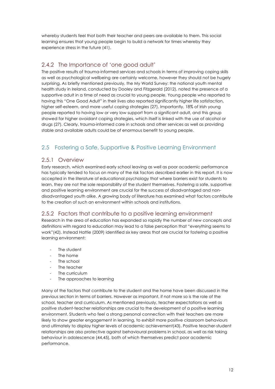whereby students feel that both their teacher and peers are available to them. This social learning ensures that young people begin to build a network for times whereby they experience stress in the future (41).

#### 2.4.2 The Importance of 'one good adult'

The positive results of trauma-informed services and schools in terms of improving coping skills as well as psychological wellbeing are certainly welcome, however they should not be hugely surprising. As briefly mentioned previously, the My World Survey: the national youth mental health study in Ireland, conducted by Dooley and Fitzgerald (2012), noted the presence of a supportive adult in a time of need as crucial to young people. Young people who reported to having this "One Good Adult" in their lives also reported significantly higher life satisfaction, higher self-esteem, and more useful coping strategies (27). Importantly, 18% of Irish young people reported to having low or very low support from a significant adult, and this group showed far higher avoidant coping strategies, which itself is linked with the use of alcohol or drugs (27). Clearly, trauma-informed care in schools and other services as well as providing stable and available adults could be of enormous benefit to young people.

## 2.5 Fostering a Safe, Supportive & Positive Learning Environment

#### 2.5.1 Overview

Early research, which examined early school leaving as well as poor academic performance has typically tended to focus on many of the risk factors described earlier in this report. It is now accepted in the literature of educational psychology that where barriers exist for students to learn, they are not the sole responsibility of the student themselves. Fostering a safe, supportive and positive learning environment are crucial for the success of disadvantaged and nondisadvantaged youth alike. A growing body of literature has examined what factors contribute to the creation of such an environment within schools and institutions.

#### 2.5.2 Factors that contribute to a positive learning environment

Research in the area of education has expanded so rapidly the number of new concepts and definitions with regard to education may lead to a false perception that "everything seems to work"(42). Instead Hattie (2009) identified six key areas that are crucial for fostering a positive learning environment:

- The student
- The home
- The school
- The teacher
- The curriculum
- The approaches to learning

Many of the factors that contribute to the student and the home have been discussed in the previous section in terms of barriers. However as important, if not more so is the role of the school, teacher and curriculum. As mentioned previously, teacher expectations as well as positive student-teacher relationships are crucial to the development of a positive learning environment. Students who feel a strong personal connection with their teachers are more likely to show greater engagement in learning, to exhibit more positive classroom behaviours and ultimately to display higher levels of academic achievement(43). Positive teacher-student relationships are also protective against behavioural problems in school, as well as risk taking behaviour in adolescence (44,45), both of which themselves predict poor academic performance.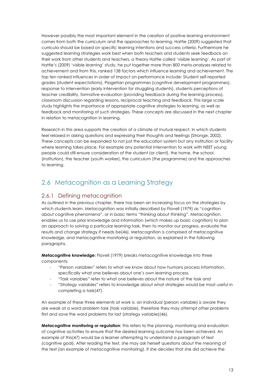However possibly the most important element in the creation of positive learning environment comes from both the curriculum and the approaches to learning. Hattie (2009) suggested that curricula should be based on specific learning intentions and success criteria. Furthermore he suggested learning strategies work best when both teachers and students seek feedback on their work from other students and teachers, a theory Hattie called 'visible learning'. As part of Hattie's (2009) 'visible learning' study, he put together more than 800 meta-analyses related to achievement and from this, ranked 138 factors which influence learning and achievement. The top ten ranked influences in order of impact on performance include: Student self-reported grades (student expectations), Piagetian programmes (cognitive development programmes), response to intervention (early intervention for struggling students), students perceptions of teacher credibility, formative evaluation (providing feedback during the learning process), classroom discussion regarding lessons, reciprocal teaching and feedback. This large scale study highlights the importance of appropriate cognitive strategies to learning, as well as feedback and monitoring of such strategies. These concepts are discussed in the next chapter in relation to metacognition in learning.

Research in this area supports the creation of a climate of mutual respect, in which students feel relaxed in asking questions and expressing their thoughts and feelings (Stronge, 2002). These concepts can be expanded to not just the education system but any institution or facility where learning takes place. For example any potential intervention to work with NEET young people could still ensure consideration of the student (or client), the home, the school (institution), the teacher (youth worker), the curriculum (the programme) and the approaches to learning.

## 2.6 Metacognition as a Learning Strategy

#### 2.6.1 Defining metacognition

As outlined in the previous chapter, there has been an increasing focus on the strategies by which students learn. Metacognition was initially described by Flavell (1979) as "cognition about cognitive phenomena", or in basic terms "thinking about thinking". Metacognition, enables us to use prior knowledge and information (which makes up basic cognition) to plan an approach to solving a particular learning task, then to monitor our progress, evaluate the results and change strategy if needs be(46). Metacognition is comprised of metacognitive knowledge, and metacognitive monitoring or regulation, as explained in the following paragraphs.

**Metacognitive knowledge:** Flavell (1979) breaks metacognitive knowledge into three components:

- "Person variables" refers to what we know about how humans process information, specifically what one believes about one's own learning process,
- "Task variables" refer to what one believes about the nature of the task and
- "Strategy variables" refers to knowledge about what strategies would be most useful in completing a task(47).

An example of these three elements at work is: an individual (person variable) is aware they are weak at a word problem task (task variable), therefore they may attempt other problems first and save the word problems for last (strategy variable)(46).

**Metacognitive monitoring or regulation**: this refers to the planning, monitoring and evaluation of cognitive activities to ensure that the desired learning outcome has been achieved. An example of this(47) would be a learner attempting to understand a paragraph of text (cognitive goal). After reading the text, she may ask herself questions about the meaning of the text (an example of metacognitive monitoring). If she decides that she did achieve the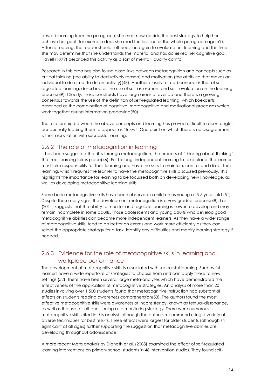desired learning from the paragraph, she must now decide the best strategy to help her achieve her goal (for example does she read the last line or the whole paragraph again?). After re-reading, the reader should self-question again to evaluate her learning and this time she may determine that she understands the material and has achieved her cognitive goal. Flavell (1979) described this activity as a sort of mental "quality control".

Research in this area has also found close links between metacognition and concepts such as critical thinking (the ability to deductively reason) and motivation (the attribute that moves an individual to do or not to do an activity)(48). Another closely related concept is that of selfregulated learning, described as the use of self-assessment and self- evaluation on the learning process(49). Clearly, these constructs have large areas of overlap and there is a growing consensus towards the use of the definition of self-regulated learning, which Boekaerts described as the combination of cognitive, metacognitive and motivational processes which work together during information processing(50).

The relationship between the above concepts and learning has proved difficult to disentangle, occasionally leading them to appear as "fuzzy". One point on which there is no disagreement is their association with successful learning.

#### 2.6.2 The role of metacognition in learning

It has been suggested that it is through metacognition, the process of "thinking about thinking", that real learning takes place(46). For lifelong, independent learning to take place, the learner must take responsibility for their learning and have the skills to maintain, control and direct their learning, which requires the learner to have the metacognitive skills discussed previously. This highlights the importance for learning to be focussed both on developing new knowledge, as well as developing metacognitive learning skills.

Some basic metacognitive skills have been observed in children as young as 3-5 years old (51). Despite these early signs, the development metacognition is a very gradual process(48). Lai (2011) suggests that the ability to monitor and regulate learning is slower to develop and may remain incomplete in some adults. Those adolescents and young adults who develop good metacognitive abilities can become more independent learners. As they have a wider range of metacognitive skills, tend to do better on exams and work more efficiently as they can select the appropriate strategy for a task, identify any difficulties and modify learning strategy if needed.

## 2.6.3 Evidence for the role of metacognitive skills in learning and workplace performance

The development of metacognitive skills is associated with successful learning. Successful learners have a wide repertoire of strategies to choose from and can apply these to new settings (52). There have been several large meta-analyses which have demonstrated the effectiveness of the application of metacognitive strategies. An analysis of more than 20 studies involving over 1,500 students found that metacognitive instruction had substantial effects on students reading awareness comprehension(53). The authors found the most effective metacognitive skills were awareness of inconsistency, known as textual-dissonance, as well as the use of self-questioning as a monitoring strategy. There were numerous metacognitive skills cited in this analysis although the authors recommend using a variety of diverse techniques for best results. These effects were largest for older students (although still significant at all ages) further supporting the suggestion that metacognitive abilities are developing throughout adolescence.

A more recent Meta analysis by Dignath et al. (2008) examined the effect of self-regulated learning interventions on primary school students in 48 intervention studies. They found self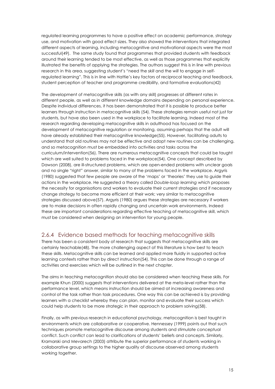regulated learning programmes to have a positive effect on academic performance, strategy use, and motivation with good effect sizes. They also showed the interventions that integrated different aspects of learning, including metacognitive and motivational aspects were the most successful(49). The same study found that programmes that provided students with feedback around their learning tended to be most effective, as well as those programmes that explicitly illustrated the benefits of applying the strategies. The authors suggest this is in line with previous research in this area, suggesting student's "need the *skill* and the *will* to engage in selfregulated learning". This is in line with Hattie's key factors of reciprocal teaching and feedback, student perception of teacher and programme credibility, and formative evaluations(42)

The development of metacognitive skills (as with any skill) progresses at different rates in different people, as well as in different knowledge domains depending on personal experience. Despite individual differences, it has been demonstrated that it is possible to produce better learners through instruction in metacognitive skills (54). These strategies remain useful not just for students, but have also been used in the workplace to facilitate learning. Indeed most of the research regarding developing metacognitive skills in adulthood has focused on the development of metacognitive regulation or monitoring, assuming perhaps that the adult will have already established their metacognitive knowledge(55). However, facilitating adults to understand that old routines may not be effective and adopt new routines can be challenging, and so metacognition must be embedded into activities and tasks across the curriculum/intervention(56). There are numerous metacognitive concepts that could be taught which are well suited to problems faced in the workplace(54). One concept described by Dawson (2008), are ill-structured problems, which are open-ended problems with unclear goals and no single "right" answer, similar to many of the problems faced in the workplace. Argyris (1980) suggested that few people are aware of the 'maps' or 'theories' they use to guide their actions in the workplace. He suggested a theory called *Double-loop learning* which proposes the necessity for organisations and workers to evaluate their current strategies and if necessary change strategy to become more efficient at their work; very similar to metacognitive strategies discussed above(57). Argyris (1980) argues these strategies are necessary if workers are to make decisions in often rapidly changing and uncertain work environments. Indeed these are important considerations regarding effective teaching of metacognitive skill, which must be considered when designing an intervention for young people.

#### 2.6.4 Evidence based methods for teaching metacognitive skills

There has been a consistent body of research that suggests that metacognitive skills are certainly teachable(48). The more challenging aspect of this literature is how best to teach these skills. Metacognitive skills can be learned and applied more fluidly in supported active learning contexts rather than by direct instruction(54). This can be done through a range of activities and exercises which will be outlined in the next chapter.

The aims in teaching metacognition should also be considered when teaching these skills. For example Khun (2000) suggests that interventions delivered at the meta-level rather than the performance level, which means instruction should be aimed at increasing awareness and control of the task rather than task procedures. One way this can be achieved is by providing learners with a checklist whereby they can plan, monitor and evaluate their success which could help students to be more strategic in their approach to problem solving(58).

Finally, as with previous research in educational psychology, metacognition is best taught in environments which are collaborative or cooperative. Hennessey (1999) points out that such techniques promote metacognitive discourse among students and stimulate conceptual conflict. Such conflict can lead to clarifications of students' beliefs and concepts. Similarly, Kramarski and Mevarech (2003) attribute the superior performance of students working in collaborative group settings to the higher quality of discourse observed among students working together.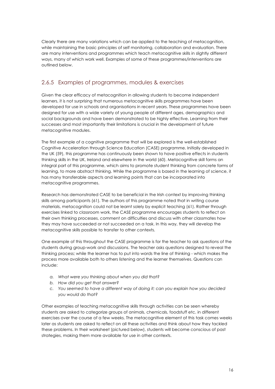Clearly there are many variations which can be applied to the teaching of metacognition, while maintaining the basic principles of self monitoring, collaboration and evaluation. There are many interventions and programmes which teach metacognitive skills in slightly different ways, many of which work well. Examples of some of these programmes/interventions are outlined below.

#### 2.6.5 Examples of programmes, modules & exercises

Given the clear efficacy of metacognition in allowing students to become independent learners, it is not surprising that numerous metacognitive skills programmes have been developed for use in schools and organisations in recent years. These programmes have been designed for use with a wide variety of young people of different ages, demographics and social backgrounds and have been demonstrated to be highly effective. Learning from their successes and most importantly their limitations is crucial in the development of future metacognitive modules.

The first example of a cognitive programme that will be explored is the well-established Cognitive Acceleration through Science Education (CASE) programme. Initially developed in the UK (59), this programme has continuously been shown to have positive effects in students thinking skills in the UK, Ireland and elsewhere in the world (60). Metacognitive skill forms an integral part of this programme, which aims to promote student thinking from concrete forms of learning, to more abstract thinking. While the programme is based in the learning of science, it has many transferable aspects and learning points that can be incorporated into metacognitive programmes.

Research has demonstrated CASE to be beneficial in the Irish context by improving thinking skills among participants (61). The authors of this programme noted that in writing course materials, metacognition could not be learnt solely by explicit teaching (61). Rather through exercises linked to classroom work, the CASE programme encourages students to reflect on their own thinking processes, comment on difficulties and discuss with other classmates how they may have succeeded or not succeeded on a task. In this way, they will develop the metacognitive skills possible to transfer to other contexts.

One example of this throughout the CASE programme is for the teacher to ask questions of the students during group-work and discussions. The teacher asks questions designed to reveal the thinking process; while the learner has to put into words the line of thinking - which makes the process more available both to others listening and the learner themselves. Questions can include:

- *a. What were you thinking about when you did that?*
- *b. How did you get that answer?*
- *c. You seemed to have a different way of doing it; can you explain how you decided you would do that?*

Other examples of teaching metacognitive skills through activities can be seen whereby students are asked to categorize groups of animals, chemicals, foodstuff etc. in different exercises over the course of a few weeks. The metacognitive element of this task comes weeks later as students are asked to reflect on all these activities and think about how they tackled these problems. In their worksheet (pictured below), students will become conscious of past strategies, making them more available for use in other contexts.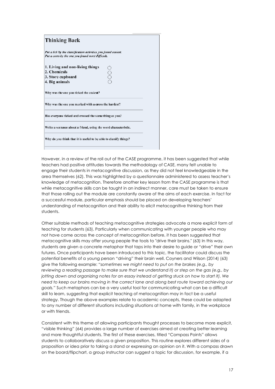| <b>Thinking Back</b>                                                                                               |  |
|--------------------------------------------------------------------------------------------------------------------|--|
| Put a tick by the classification activities you found easiest.<br>Put a cross by the one you found most difficult. |  |
| 1. Living and non-living things<br>pooc<br>2. Chemicals<br>3. Store cupboard<br>4. Big animals                     |  |
| Why was the one you ticked the easiest?                                                                            |  |
| Why was the one you marked with a cross the hardest?                                                               |  |
| Has everyone ticked and crossed the same thing as you?                                                             |  |
| Write a sentence about a friend, using the word characteristic.                                                    |  |
| Why do you think that it is useful to be able to classify things?                                                  |  |
|                                                                                                                    |  |

However, in a review of the roll out of the CASE programme, it has been suggested that while teachers had positive attitudes towards the methodology of CASE, many felt unable to engage their students in metacognitive discussion, as they did not feel knowledgeable in the area themselves (62). This was highlighted by a questionnaire administered to assess teacher's knowledge of metacognition. Therefore another key lesson from the CASE programme is that while metacognitive skills can be taught in an indirect manner, care must be taken to ensure that those rolling out the module are constantly aware of the aims of each exercise. In fact for a successful module, particular emphasis should be placed on developing teachers' understanding of metacognition and their ability to elicit metacognitive thinking from their students.

Other suitable methods of teaching metacognitive strategies advocate a more explicit form of teaching for students (63). Particularly when communicating with younger people who may not have come across the concept of metacognition before, it has been suggested that metacognitive skills may offer young people the tools to "drive their brains." (63) In this way, students are given a concrete metaphor that taps into their desire to guide or "drive" their own futures. Once participants have been introduced to this topic, the facilitator could discuss the potential benefits of a young person "driving" their brain well. Coyners and Wilson (2014) (63) give the following example: *"sometimes we might need to put on the brakes (e.g., by reviewing a reading passage to make sure that we understand it) or step on the gas (e.g., by jotting down and organizing notes for an essay instead of getting stuck on how to start it). We need to keep our brains moving in the correct lane and along best route toward achieving our goals."* Such metaphors can be a very useful tool for communicating what can be a difficult skill to learn, suggesting that explicit teaching of metacognition may in fact be a useful strategy. Though the above examples relate to academic concepts, these could be adapted to any number of different situations including situations at home with family, in the workplace or with friends.

Consistent with this theme of allowing participants thought processes to become more explicit, "visible thinking" (64) provides a large number of exercises aimed at creating better learning and more thoughtful students. The first of these exercises, titled "Compass Points" allows students to collaboratively discuss a given proposition. This routine explores different sides of a proposition or idea prior to taking a stand or expressing an opinion on it. With a compass drawn on the board/flipchart, a group instructor can suggest a topic for discussion, for example, if a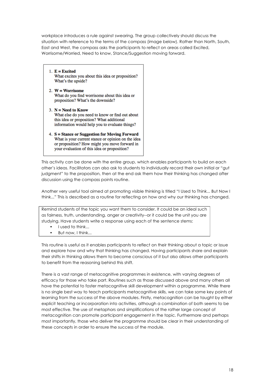workplace introduces a rule against swearing. The group collectively should discuss the situation with reference to the terms of the compass (image below). Rather than North, South, East and West, the compass asks the participants to reflect on areas called Excited, Worrisome/Worried, Need to know, Stance/Suggestion moving forward.

- 1.  $E = Excited$ What excites you about this idea or proposition? What's the upside?
- 2.  $W = Worrisome$ What do you find worrisome about this idea or proposition? What's the downside?
- 3.  $N = Need$  to Know What else do you need to know or find out about this idea or proposition? What additional information would help you to evaluate things?
- 4. S = Stance or Suggestion for Moving Forward What is your current stance or opinion on the idea or proposition? How might you move forward in your evaluation of this idea or proposition?

This activity can be done with the entire group, which enables participants to build on each other's ideas. Facilitators can also ask to students to individually record their own initial or "gut judgment" to the proposition, then at the end ask them how their thinking has changed after discussion using the compass points routine.

Another very useful tool aimed at promoting visible thinking is titled "I Used to Think... But Now I think..." This is described as a routine for reflecting on how and why our thinking has changed.

Remind students of the topic you want them to consider. It could be an ideal such as fairness, truth, understanding, anger or creativity--or it could be the unit you are studying. Have students write a response using each of the sentence stems:

- I used to think...
- But now, I think...

This routine is useful as it enables participants to reflect on their thinking about a topic or issue and explore how and why that thinking has changed. Having participants share and explain their shifts in thinking allows them to become conscious of it but also allows other participants to benefit from the reasoning behind this shift.

There is a vast range of metacognitive programmes in existence, with varying degrees of efficacy for those who take part. Routines such as those discussed above and many others all have the potential to foster metacognitive skill development within a programme. While there is no single best way to teach participants metacognitive skills, we can take some key points of learning from the success of the above modules. Firstly, metacognition can be taught by either explicit teaching or incorporation into activities, although a combination of both seems to be most effective. The use of metaphors and simplifications of the rather large concept of metacognition can promote participant engagement in the topic. Furthermore and perhaps most importantly, those who deliver the programme should be clear in their understanding of these concepts in order to ensure the success of the module.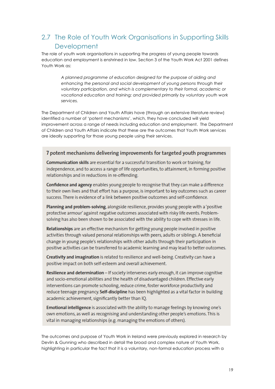## 2.7 The Role of Youth Work Organisations in Supporting Skills **Development**

The role of youth work organisations in supporting the progress of young people towards education and employment is enshrined in law. Section 3 of the Youth Work Act 2001 defines Youth Work as:

> *A planned programme of education designed for the purpose of aiding and*  enhancing the personal and social development of young persons through their *voluntary participation, and which is complementary to their formal, academic or vocational education and training; and provided primarily by voluntary youth work services.*

The Department of Children and Youth Affairs have (through an extensive literature review) identified a number of 'potent mechanisms', which, they have concluded will yield improvement across a range of needs including education and employment. The Department of Children and Youth Affairs indicate that these are the outcomes that Youth Work services are ideally supporting for those young people using their services.

#### 7 potent mechanisms delivering improvements for targeted youth programmes

**Communication skills** are essential for a successful transition to work or training, for independence, and to access a range of life opportunities, to attainment, in forming positive relationships and in reductions in re-offending.

Confidence and agency enables young people to recognise that they can make a difference to their own lives and that effort has a purpose, is important to key outcomes such as career success. There is evidence of a link between positive outcomes and self-confidence.

Planning and problem-solving, alongside resilience, provides young people with a 'positive protective armour' against negative outcomes associated with risky life events. Problemsolving has also been shown to be associated with the ability to cope with stresses in life.

Relationships are an effective mechanism for getting young people involved in positive activities through valued personal relationships with peers, adults or siblings. A beneficial change in young people's relationships with other adults through their participation in positive activities can be transferred to academic learning and may lead to better outcomes.

Creativity and imagination is related to resilience and well-being. Creativity can have a positive impact on both self-esteem and overall achievement.

Resilience and determination - If society intervenes early enough, it can improve cognitive and socio-emotional abilities and the health of disadvantaged children. Effective early interventions can promote schooling, reduce crime, foster workforce productivity and reduce teenage pregnancy. Self-discipline has been highlighted as a vital factor in building academic achievement, significantly better than IQ.

Emotional intelligence is associated with the ability to manage feelings by knowing one's own emotions, as well as recognising and understanding other people's emotions. This is vital in managing relationships (e.g. managing the emotions of others).

The outcomes and purpose of Youth Work in Ireland were previously explored in research by Devlin & Gunning who described in detail the broad and complex nature of Youth Work, highlighting in particular the fact that it is a voluntary, non-formal education process with a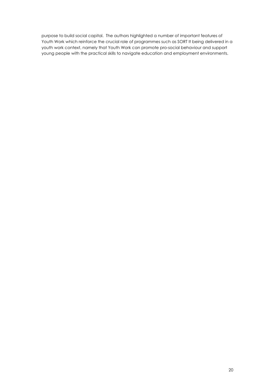purpose to build social capital. The authors highlighted a number of important features of Youth Work which reinforce the crucial role of programmes such as SORT It being delivered in a youth work context, namely that Youth Work can promote pro-social behaviour and support young people with the practical skills to navigate education and employment environments.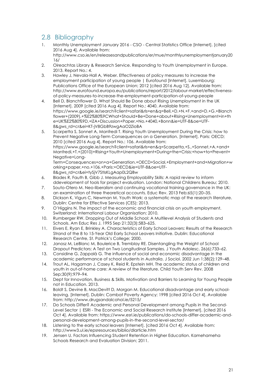## 2.8 Bibliography

- 1. Monthly Unemployment January 2016 CSO Central Statistics Office [Internet]. [cited 2016 Aug 4]. Available from: http://www.cso.ie/en/releasesandpublications/er/mue/monthlyunemploymentjanuary20 16/
- 2. Oireachtas Library & Research Service. Responding to Youth Unemployment in Europe. 2013. Report No.: 4.
- 3. Hawley J, Nevala-Hall A, Weber. Effectiveness of policy measures to increase the employment participation of young people | Eurofound [Internet]. Luxembourg: Publications Office of the European Union; 2012 [cited 2016 Aug 12]. Available from: http://www.eurofound.europa.eu/publications/report/2012/labour-market/effectivenessof-policy-measures-to-increase-the-employment-participation-of-young-people
- 4. Bell D, Blanchflower D. What Should Be Done about Rising Unemployment in the UK [Internet]. 2009 [cited 2016 Aug 4]. Report No.: 4040. Available from: https://www.google.ie/search?client=safari&rls=en&q=Bell,+D.+N.+F.+and+D.+G.+Blanch flower+(2009),+%E2%80%9CWhat+Should+Be+Done+about+Rising+Unemployment+in+th e+UK%E2%80%9D,+IZA+Discussion+Paper,+No.+4040,+Bonn&ie=UTF-8&oe=UTF-8&gws\_rd=cr&ei=KT-jV8GbB9zwgAaO2ZioBA
- 5. Scarpetta S, Sonnet A, Manfredi T. Rising Youth Unemployment During the Crisis: how to Prevent Negative Long-Term Consequences on a Generation. [Internet]. Paris: OECD; 2010 [cited 2016 Aug 4]. Report No.: 106. Available from: https://www.google.ie/search?client=safari&rls=en&q=Scarpetta,+S.,+Sonnet,+A.+and+ Manfredi,+T.+(2010)+Rising+Youth+Unemployment+During+the+Crisis:+how+to+Prevent+ Negative+Long-Term+Consequences+on+a+Generation.+OECD+Social,+Employment+and+Migration+w

orking+paper,+no.+106.+Paris:+OECD&ie=UTF-8&oe=UTF-8&gws\_rd=cr&ei=tySjV7StIsKLgAap0L2QBw

- 6. Blades R, Fauth B, Gibb J. Measuring Employability Skills: A rapid review to inform ddevelopment of tools for project evaluation. London: National Childrens Bureau; 2010.
- 7. Souto-Otero M. Neo-liberalism and continuing vocational training governance in the UK: an examination of three theoretical accounts. Educ Rev. 2013 Feb;65(1):20–35.
- 8. Dickson K, Vigurs C, Newman M. Youth Work: a systematic map of the research literature. Dublin: Centre for Effective Services (CES); 2013.
- 9. O'Higgins N. The impact of the economic and financial crisis on youth employment. Switzerland: International Labour Organisation; 2010.
- 10. Rumberger RW. Dropping Out of Middle School: A Multilevel Analysis of Students and Schools. Am Educ Res J. 1995 Sep 21;32(3):583–625.
- 11. Eivers E, Ryan E, Brinkley A. Characteristics of Early School Leavers: Results of the Research Strand of the 8 to 15-Year Old Early School Leavers Initiative. Dublin: Educational Research Centre, St. Patrick's College; 2000.
- 12. Janosz M, LeBlanc M, Boulerice B, Tremblay RE. Disentangling the Weight of School Dropout Predictors: A Test on Two Longitudinal Samples. J Youth Adolesc. 26(6):733–62.
- 13. Considine G, Zappalà G. The influence of social and economic disadvantage in the academic performance of school students in Australia. J Sociol. 2002 Jun 1;38(2):129–48.
- 14. Trout AL, Hagaman J, Casey K, Reid R, Epstein MH. The academic status of children and youth in out-of-home care: A review of the literature. Child Youth Serv Rev. 2008 Sep;30(9):979–94.
- 15. Dept for Innovation, Business & Skills. Motivation and Barriers to Learning for Young People not in Education. 2013.
- 16. Boldt S, Devine B, MacDevitt D, Morgan M. Educational disadvantage and early schoolleaving. [Internet]. Dublin: Combat Poverty Agency; 1998 [cited 2016 Oct 4]. Available from: http://www.drugsandalcohol.ie/5215/
- 17. Do Schools Differ? Academic and Personal Development among Pupils in the Second-Level Sector | ESRI - The Economic and Social Research Institute [Internet]. [cited 2016 Oct 4]. Available from: https://www.esri.ie/publications/do-schools-differ-academic-andpersonal-development-among-pupils-in-the-second-level-sector/
- 18. Listening to the early school leavers [Internet]. [cited 2016 Oct 4]. Available from: http://www3.ul.ie/epsresources/biblio/dlarticle.htm
- 19. Jensen U. Factors Influencing Student Retention in Higher Education. Kamehameha Schools Research and Evaluation Division; 2011.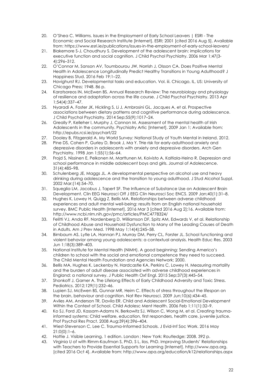- 20. O'Shea C, Williams. Issues in the Employment of Early School Leavers | ESRI The Economic and Social Research Institute [Internet]. ESRI; 2001 [cited 2016 Aug 5]. Available from: https://www.esri.ie/publications/issues-in-the-employment-of-early-school-leavers/
- 21. Blakemore S-J, Choudhury S. Development of the adolescent brain: implications for executive function and social cognition. J Child Psychol Psychiatry. 2006 Mar 1;47(3-  $41.296 - 312$
- 22. O'Connor M, Sanson AV, Toumbourou JW, Norrish J, Olsson CA. Does Positive Mental Health in Adolescence Longitudinally Predict Healthy Transitions in Young Adulthood? J Happiness Stud. 2016 Feb 19;1–22.
- 23. Havighurst RJ. Developmental tasks and education. Vol. iii. Chicago, IL, US: University of Chicago Press; 1948. 86 p.
- 24. Karatsoreos IN, McEwen BS. Annual Research Review: The neurobiology and physiology of resilience and adaptation across the life course. J Child Psychol Psychiatry. 2013 Apr 1;54(4):337–47.
- 25. Nyaradi A, Foster JK, Hickling S, Li J, Ambrosini GL, Jacques A, et al. Prospective associations between dietary patterns and cognitive performance during adolescence. J Child Psychol Psychiatry. 2014 Sep;55(9):1017–24.
- 26. Greally P, Kelleher I, Murphy J, Cannon M. Assessment of the mental health of Irish Adolescents in the community. Psychiatry Artic [Internet]. 2009 Jan 1; Available from: http://epubs.rcsi.ie/psychart/22
- 27. Dooley B, Fitzgerald A. My World Survey: National Study of Youth Mental in Ireland. 2012.
- 28. Pine DS, Cohen P, Gurley D, Brook J, Ma Y. THe risk for early-adulthood anxiety and depressive disorders in adolescents with anxiety and depressive disorders. Arch Gen Psychiatry. 1998 Jan 1;55(1):56–64.
- 29. Frojd S, Nissinen E, Pelkonen M, Marttunen M, Koivisto A, Kaltiala-Heino R. Depression and school performance in middle adolescent boys and girls. Journal of Adolescence. 31(4):485–98.
- 30. Schulenberg JE, Maggs JL. A developmental perspective on alcohol use and heavy drinking during adolescence and the transition to young adulthood. J Stud Alcohol Suppl. 2002 Mar;(14):54–70.
- 31. Squeglia LM, Jacobus J, Tapert SF. The Influence of Substance Use on Adolescent Brain Development. Clin EEG Neurosci Off J EEG Clin Neurosci Soc ENCS. 2009 Jan;40(1):31–8.
- 32. Hughes K, Lowey H, Quigg Z, Bellis MA. Relationships between adverse childhood experiences and adult mental well-being: results from an English national household survey. BMC Public Health [Internet]. 2016 Mar 3 [cited 2016 Aug 2];16. Available from: http://www.ncbi.nlm.nih.gov/pmc/articles/PMC4778324/
- 33. Felitti VJ, Anda RF, Nordenberg D, Williamson DF, Spitz AM, Edwards V, et al. Relationship of Childhood Abuse and Household Dysfunction to Many of the Leading Causes of Death in Adults. Am J Prev Med. 1998 May 1;14(4):245–58.
- 34. Birnbaum AS, Lytle LA, Hannan PJ, Murray DM, Perry CL, Forster JL. School functioning and violent behavior among young adolescents: a contextual analysis. Health Educ Res. 2003 Jun 1;18(3):389–403.
- 35. National Institute for Mental Health (NIMH). A good beginning: Sending America's children to school with the social and emotional competence they need to succeed. The Child Mental Health Foundation and Agencies Network; 2000.
- 36. Bellis MA, Hughes K, Leckenby N, Hardcastle KA, Perkins C, Lowey H. Measuring mortality and the burden of adult disease associated with adverse childhood experiences in England: a national survey. J Public Health Oxf Engl. 2015 Sep;37(3):445–54.
- 37. Shonkoff J, Garner A. The Lifelong Effects of Early Childhood Adversity and Toxic Stress. Pediatrics. 2012;129(1):232–46.
- 38. Lupien SJ, McEwen BS, Gunnar MR, Heim C. Effects of stress throughout the lifespan on the brain, behaviour and cognition. Nat Rev Neurosci. 2009 Jun;10(6):434–45.
- 39. Aviles AM, Anderson TR, Davila ER. Child and Adolescent Social-Emotional Development Within the Context of School. Child Adolesc Ment Health. 2006 Feb 1;11(1):32–9.
- 40. Ko SJ, Ford JD, Kassam-Adams N, Berkowitz SJ, Wilson C, Wong M, et al. Creating traumainformed systems: Child welfare, education, first responders, health care, juvenile justice. Prof Psychol Res Pract. 2008 Aug;39(4):396–404.
- 41. Wiest-Stevenson C, Lee C. Trauma-Informed Schools. J Evid-Inf Soc Work. 2016 May 21;0(0):1–6.
- 42. Hattie J. Visible Learning. 1 edition. London ; New York: Routledge; 2008. 392 p.
- 43. Virginia U of with Rimm-Kaufman S, PhD, S L, ilos, PhD. Improving Students' Relationships with Teachers to Provide Essential Supports for Learning [Internet]. http://www.apa.org. [cited 2016 Oct 4]. Available from: http://www.apa.org/education/k12/relationships.aspx